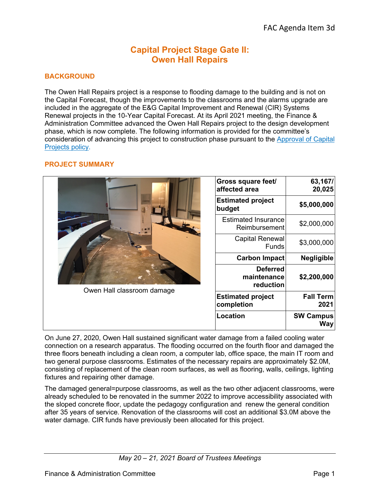# **Capital Project Stage Gate II: Owen Hall Repairs**

# **BACKGROUND**

The Owen Hall Repairs project is a response to flooding damage to the building and is not on the Capital Forecast, though the improvements to the classrooms and the alarms upgrade are included in the aggregate of the E&G Capital Improvement and Renewal (CIR) Systems Renewal projects in the 10-Year Capital Forecast. At its April 2021 meeting, the Finance & Administration Committee advanced the Owen Hall Repairs project to the design development phase, which is now complete. The following information is provided for the committee's consideration of advancing this project to construction phase pursuant to the [Approval of Capital](https://leadership.oregonstate.edu/sites/leadership.oregonstate.edu/files/181026_capital_projects_approval.pdf)  [Projects policy.](https://leadership.oregonstate.edu/sites/leadership.oregonstate.edu/files/181026_capital_projects_approval.pdf)

#### **PROJECT SUMMARY**

| Owen Hall classroom damage | Gross square feet/<br>affected area         | 63,167/<br>20,025              |
|----------------------------|---------------------------------------------|--------------------------------|
|                            | <b>Estimated project</b><br>budget          | \$5,000,000                    |
|                            | <b>Estimated Insurance</b><br>Reimbursement | \$2,000,000                    |
|                            | <b>Capital Renewal</b><br><b>Funds</b>      | \$3,000,000                    |
|                            | <b>Carbon Impact</b>                        | <b>Negligible</b>              |
|                            | <b>Deferred</b><br>maintenance<br>reduction | \$2,200,000                    |
|                            | <b>Estimated project</b><br>completion      | <b>Fall Term</b><br>2021       |
|                            | Location                                    | <b>SW Campus</b><br><b>Way</b> |

On June 27, 2020, Owen Hall sustained significant water damage from a failed cooling water connection on a research apparatus. The flooding occurred on the fourth floor and damaged the three floors beneath including a clean room, a computer lab, office space, the main IT room and two general purpose classrooms. Estimates of the necessary repairs are approximately \$2.0M, consisting of replacement of the clean room surfaces, as well as flooring, walls, ceilings, lighting fixtures and repairing other damage.

The damaged general=purpose classrooms, as well as the two other adjacent classrooms, were already scheduled to be renovated in the summer 2022 to improve accessibility associated with the sloped concrete floor, update the pedagogy configuration and renew the general condition after 35 years of service. Renovation of the classrooms will cost an additional \$3.0M above the water damage. CIR funds have previously been allocated for this project.

*May 20 – 21, 2021 Board of Trustees Meetings*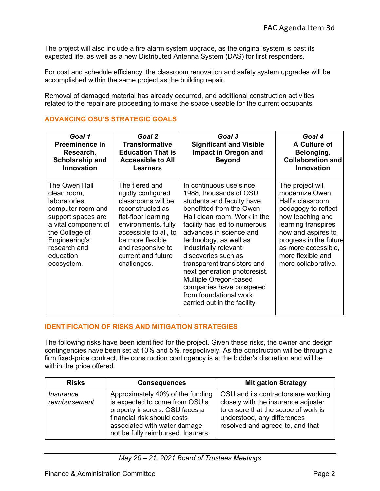The project will also include a fire alarm system upgrade, as the original system is past its expected life, as well as a new Distributed Antenna System (DAS) for first responders.

For cost and schedule efficiency, the classroom renovation and safety system upgrades will be accomplished within the same project as the building repair.

Removal of damaged material has already occurred, and additional construction activities related to the repair are proceeding to make the space useable for the current occupants.

| Goal 1<br>Preeminence in<br>Research,<br>Scholarship and<br><b>Innovation</b>                                                                                                                  | Goal 2<br><b>Transformative</b><br><b>Education That is</b><br><b>Accessible to All</b><br>Learners                                                                                                                                 | Goal 3<br><b>Significant and Visible</b><br>Impact in Oregon and<br><b>Beyond</b>                                                                                                                                                                                                                                                                                                                                                                             | Goal 4<br>A Culture of<br>Belonging,<br><b>Collaboration and</b><br><b>Innovation</b>                                                                                                                                                       |
|------------------------------------------------------------------------------------------------------------------------------------------------------------------------------------------------|-------------------------------------------------------------------------------------------------------------------------------------------------------------------------------------------------------------------------------------|---------------------------------------------------------------------------------------------------------------------------------------------------------------------------------------------------------------------------------------------------------------------------------------------------------------------------------------------------------------------------------------------------------------------------------------------------------------|---------------------------------------------------------------------------------------------------------------------------------------------------------------------------------------------------------------------------------------------|
| The Owen Hall<br>clean room,<br>laboratories,<br>computer room and<br>support spaces are<br>a vital component of<br>the College of<br>Engineering's<br>research and<br>education<br>ecosystem. | The tiered and<br>rigidly configured<br>classrooms will be<br>reconstructed as<br>flat-floor learning<br>environments, fully<br>accessible to all, to<br>be more flexible<br>and responsive to<br>current and future<br>challenges. | In continuous use since<br>1988, thousands of OSU<br>students and faculty have<br>benefitted from the Owen<br>Hall clean room. Work in the<br>facility has led to numerous<br>advances in science and<br>technology, as well as<br>industrially relevant<br>discoveries such as<br>transparent transistors and<br>next generation photoresist.<br>Multiple Oregon-based<br>companies have prospered<br>from foundational work<br>carried out in the facility. | The project will<br>modernize Owen<br>Hall's classroom<br>pedagogy to reflect<br>how teaching and<br>learning transpires<br>now and aspires to<br>progress in the future<br>as more accessible,<br>more flexible and<br>more collaborative. |

# **ADVANCING OSU'S STRATEGIC GOALS**

## **IDENTIFICATION OF RISKS AND MITIGATION STRATEGIES**

The following risks have been identified for the project. Given these risks, the owner and design contingencies have been set at 10% and 5%, respectively. As the construction will be through a firm fixed-price contract, the construction contingency is at the bidder's discretion and will be within the price offered.

| <b>Risks</b>                      | <b>Consequences</b>                                                                                                                                                                                      | <b>Mitigation Strategy</b>                                                                                                                                                           |
|-----------------------------------|----------------------------------------------------------------------------------------------------------------------------------------------------------------------------------------------------------|--------------------------------------------------------------------------------------------------------------------------------------------------------------------------------------|
| <i>Insurance</i><br>reimbursement | Approximately 40% of the funding<br>is expected to come from OSU's<br>property insurers. OSU faces a<br>financial risk should costs<br>associated with water damage<br>not be fully reimbursed. Insurers | OSU and its contractors are working<br>closely with the insurance adjuster<br>to ensure that the scope of work is<br>understood, any differences<br>resolved and agreed to, and that |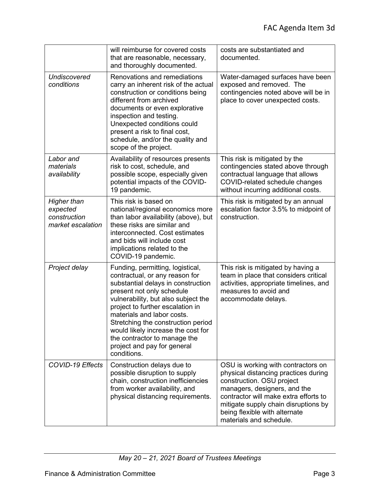|                                                              | will reimburse for covered costs<br>that are reasonable, necessary,<br>and thoroughly documented.                                                                                                                                                                                                                                                                                                        | costs are substantiated and<br>documented.                                                                                                                                                                                                                                           |
|--------------------------------------------------------------|----------------------------------------------------------------------------------------------------------------------------------------------------------------------------------------------------------------------------------------------------------------------------------------------------------------------------------------------------------------------------------------------------------|--------------------------------------------------------------------------------------------------------------------------------------------------------------------------------------------------------------------------------------------------------------------------------------|
| Undiscovered<br>conditions                                   | Renovations and remediations<br>carry an inherent risk of the actual<br>construction or conditions being<br>different from archived<br>documents or even explorative<br>inspection and testing.<br>Unexpected conditions could<br>present a risk to final cost,<br>schedule, and/or the quality and<br>scope of the project.                                                                             | Water-damaged surfaces have been<br>exposed and removed. The<br>contingencies noted above will be in<br>place to cover unexpected costs.                                                                                                                                             |
| Labor and<br>materials<br>availability                       | Availability of resources presents<br>risk to cost, schedule, and<br>possible scope, especially given<br>potential impacts of the COVID-<br>19 pandemic.                                                                                                                                                                                                                                                 | This risk is mitigated by the<br>contingencies stated above through<br>contractual language that allows<br>COVID-related schedule changes<br>without incurring additional costs.                                                                                                     |
| Higher than<br>expected<br>construction<br>market escalation | This risk is based on<br>national/regional economics more<br>than labor availability (above), but<br>these risks are similar and<br>interconnected. Cost estimates<br>and bids will include cost<br>implications related to the<br>COVID-19 pandemic.                                                                                                                                                    | This risk is mitigated by an annual<br>escalation factor 3.5% to midpoint of<br>construction.                                                                                                                                                                                        |
| Project delay                                                | Funding, permitting, logistical,<br>contractual, or any reason for<br>substantial delays in construction<br>present not only schedule<br>vulnerability, but also subject the<br>project to further escalation in<br>materials and labor costs.<br>Stretching the construction period<br>would likely increase the cost for<br>the contractor to manage the<br>project and pay for general<br>conditions. | This risk is mitigated by having a<br>team in place that considers critical<br>activities, appropriate timelines, and<br>measures to avoid and<br>accommodate delays.                                                                                                                |
| <b>COVID-19 Effects</b>                                      | Construction delays due to<br>possible disruption to supply<br>chain, construction inefficiencies<br>from worker availability, and<br>physical distancing requirements.                                                                                                                                                                                                                                  | OSU is working with contractors on<br>physical distancing practices during<br>construction. OSU project<br>managers, designers, and the<br>contractor will make extra efforts to<br>mitigate supply chain disruptions by<br>being flexible with alternate<br>materials and schedule. |